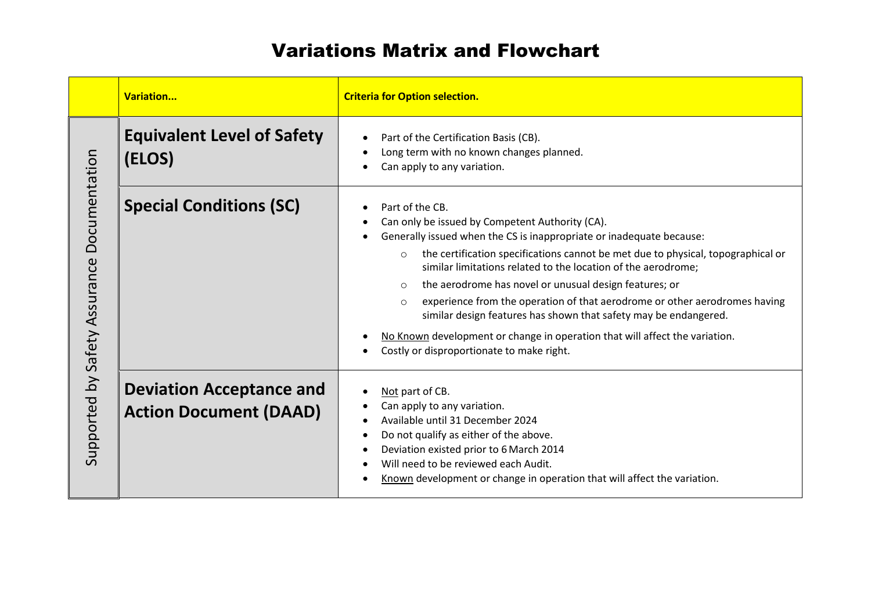## Variations Matrix and Flowchart

|                                             | Variation                                                        | <b>Criteria for Option selection.</b>                                                                                                                                                                                                                                                                                                                                                                                                                                                                                                                                                                                                                                    |
|---------------------------------------------|------------------------------------------------------------------|--------------------------------------------------------------------------------------------------------------------------------------------------------------------------------------------------------------------------------------------------------------------------------------------------------------------------------------------------------------------------------------------------------------------------------------------------------------------------------------------------------------------------------------------------------------------------------------------------------------------------------------------------------------------------|
| Supported by Safety Assurance Documentation | <b>Equivalent Level of Safety</b><br>(ELOS)                      | Part of the Certification Basis (CB).<br>Long term with no known changes planned.<br>Can apply to any variation.                                                                                                                                                                                                                                                                                                                                                                                                                                                                                                                                                         |
|                                             | <b>Special Conditions (SC)</b>                                   | Part of the CB.<br>Can only be issued by Competent Authority (CA).<br>Generally issued when the CS is inappropriate or inadequate because:<br>the certification specifications cannot be met due to physical, topographical or<br>$\circ$<br>similar limitations related to the location of the aerodrome;<br>the aerodrome has novel or unusual design features; or<br>$\circ$<br>experience from the operation of that aerodrome or other aerodromes having<br>$\circ$<br>similar design features has shown that safety may be endangered.<br>No Known development or change in operation that will affect the variation.<br>Costly or disproportionate to make right. |
|                                             | <b>Deviation Acceptance and</b><br><b>Action Document (DAAD)</b> | Not part of CB.<br>Can apply to any variation.<br>Available until 31 December 2024<br>Do not qualify as either of the above.<br>Deviation existed prior to 6 March 2014<br>Will need to be reviewed each Audit.<br>Known development or change in operation that will affect the variation.                                                                                                                                                                                                                                                                                                                                                                              |